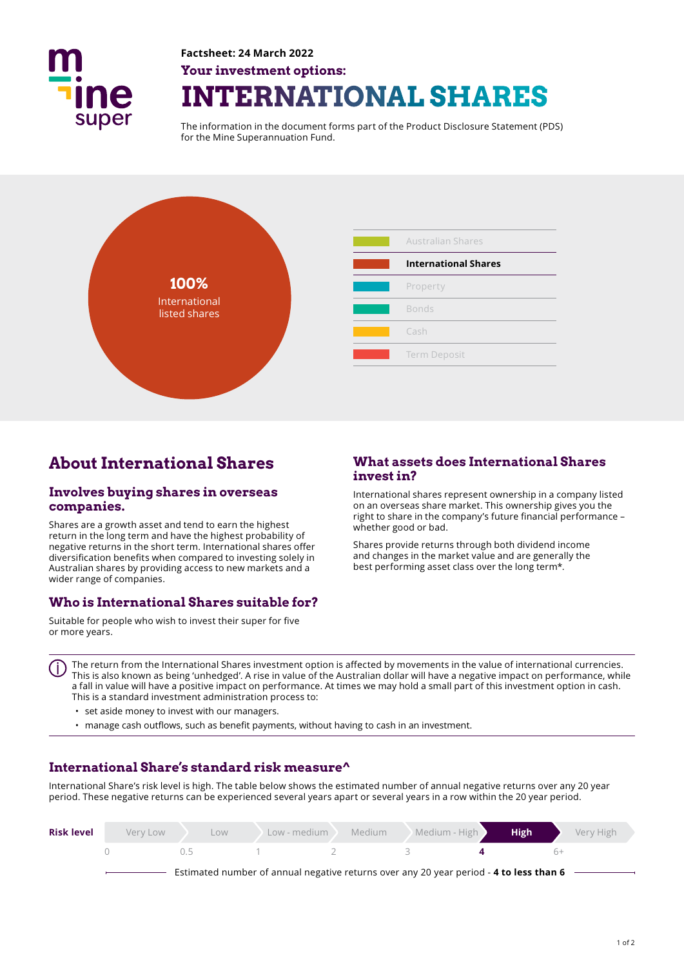

## **Factsheet: 24 March 2022 Your investment options: INTERNATIONAL SHARES**

The information in the document forms part of the Product Disclosure Statement (PDS) for the Mine Superannuation Fund.



# **About International Shares**

#### **Involves buying shares in overseas companies.**

Shares are a growth asset and tend to earn the highest return in the long term and have the highest probability of negative returns in the short term. International shares ofer diversifcation benefts when compared to investing solely in Australian shares by providing access to new markets and a wider range of companies.

### **Who is International Shares suitable for?**

Suitable for people who wish to invest their super for five or more years.

### **What assets does International Shares invest in?**

International shares represent ownership in a company listed on an overseas share market. This ownership gives you the right to share in the company's future fnancial performance – whether good or bad.

Shares provide returns through both dividend income and changes in the market value and are generally the best performing asset class over the long term\*.

The return from the International Shares investment option is afected by movements in the value of international currencies. This is also known as being 'unhedged'. A rise in value of the Australian dollar will have a negative impact on performance, while a fall in value will have a positive impact on performance. At times we may hold a small part of this investment option in cash. This is a standard investment administration process to:

- set aside money to invest with our managers.
- manage cash outflows, such as benefit payments, without having to cash in an investment.

### **International Share's standard risk measure^**

International Share's risk level is high. The table below shows the estimated number of annual negative returns over any 20 year period. These negative returns can be experienced several years apart or several years in a row within the 20 year period.

| <b>Risk level</b> | Very Low                                                                               | Low | Low - medium             | Medium | Medium - High | <b>High</b> | Very High |
|-------------------|----------------------------------------------------------------------------------------|-----|--------------------------|--------|---------------|-------------|-----------|
|                   |                                                                                        | (15 | and the first projection |        |               |             | $h+$      |
|                   | Estimated number of annual negative returns over any 20 year period - 4 to less than 6 |     |                          |        |               |             |           |